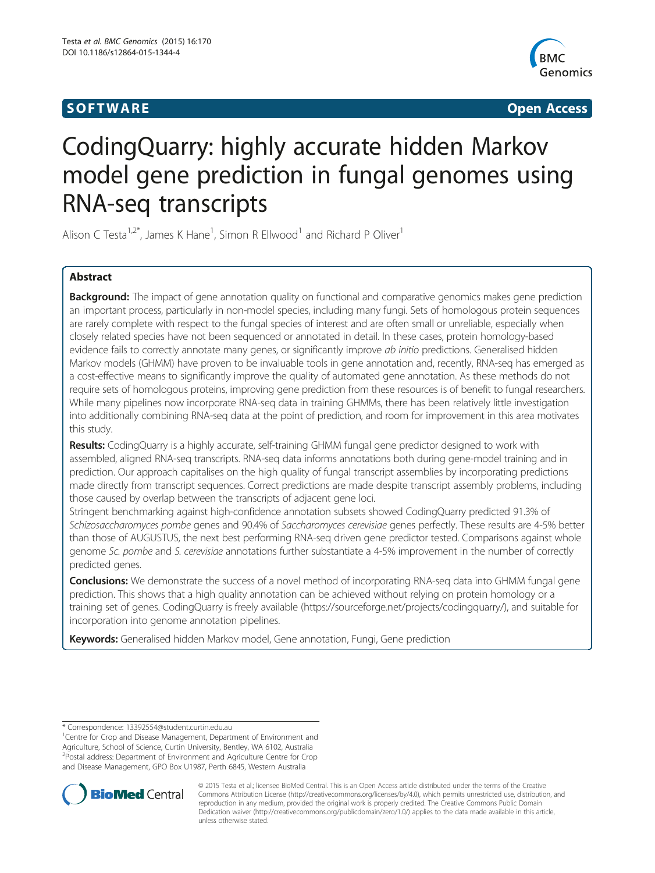## **SOFTWARE SOFTWARE** *CONSERVERSE EXECUTIVE EXECUTIVE EXECUTIVE EXECUTIVE EXECUTIVE EXECUTIVE EXECUTIVE EXECUTIVE EXECUTIVE EXECUTIVE EXECUTIVE EXECUTIVE EXECUTIVE EXECUTIVE EXECUTIVE EXECUTIVE EXECUTIVE EXECUTIVE EXECUT*



# CodingQuarry: highly accurate hidden Markov model gene prediction in fungal genomes using RNA-seq transcripts

Alison C Testa<sup>1,2\*</sup>, James K Hane<sup>1</sup>, Simon R Ellwood<sup>1</sup> and Richard P Oliver<sup>1</sup>

### Abstract

Background: The impact of gene annotation quality on functional and comparative genomics makes gene prediction an important process, particularly in non-model species, including many fungi. Sets of homologous protein sequences are rarely complete with respect to the fungal species of interest and are often small or unreliable, especially when closely related species have not been sequenced or annotated in detail. In these cases, protein homology-based evidence fails to correctly annotate many genes, or significantly improve ab initio predictions. Generalised hidden Markov models (GHMM) have proven to be invaluable tools in gene annotation and, recently, RNA-seq has emerged as a cost-effective means to significantly improve the quality of automated gene annotation. As these methods do not require sets of homologous proteins, improving gene prediction from these resources is of benefit to fungal researchers. While many pipelines now incorporate RNA-seq data in training GHMMs, there has been relatively little investigation into additionally combining RNA-seq data at the point of prediction, and room for improvement in this area motivates this study.

Results: CodingQuarry is a highly accurate, self-training GHMM fungal gene predictor designed to work with assembled, aligned RNA-seq transcripts. RNA-seq data informs annotations both during gene-model training and in prediction. Our approach capitalises on the high quality of fungal transcript assemblies by incorporating predictions made directly from transcript sequences. Correct predictions are made despite transcript assembly problems, including those caused by overlap between the transcripts of adjacent gene loci.

Stringent benchmarking against high-confidence annotation subsets showed CodingQuarry predicted 91.3% of Schizosaccharomyces pombe genes and 90.4% of Saccharomyces cerevisiae genes perfectly. These results are 4-5% better than those of AUGUSTUS, the next best performing RNA-seq driven gene predictor tested. Comparisons against whole genome Sc. pombe and S. cerevisiae annotations further substantiate a 4-5% improvement in the number of correctly predicted genes.

Conclusions: We demonstrate the success of a novel method of incorporating RNA-seq data into GHMM fungal gene prediction. This shows that a high quality annotation can be achieved without relying on protein homology or a training set of genes. CodingQuarry is freely available [\(https://sourceforge.net/projects/codingquarry/](https://sourceforge.net/projects/codingquarry/)), and suitable for incorporation into genome annotation pipelines.

Keywords: Generalised hidden Markov model, Gene annotation, Fungi, Gene prediction

\* Correspondence: [13392554@student.curtin.edu.au](mailto:13392554@student.curtin.edu.au) <sup>1</sup>

<sup>1</sup>Centre for Crop and Disease Management, Department of Environment and Agriculture, School of Science, Curtin University, Bentley, WA 6102, Australia <sup>2</sup> Postal address: Department of Environment and Agriculture Centre for Crop and Disease Management, GPO Box U1987, Perth 6845, Western Australia



© 2015 Testa et al.; licensee BioMed Central. This is an Open Access article distributed under the terms of the Creative Commons Attribution License [\(http://creativecommons.org/licenses/by/4.0\)](http://creativecommons.org/licenses/by/4.0), which permits unrestricted use, distribution, and reproduction in any medium, provided the original work is properly credited. The Creative Commons Public Domain Dedication waiver [\(http://creativecommons.org/publicdomain/zero/1.0/](http://creativecommons.org/publicdomain/zero/1.0/)) applies to the data made available in this article, unless otherwise stated.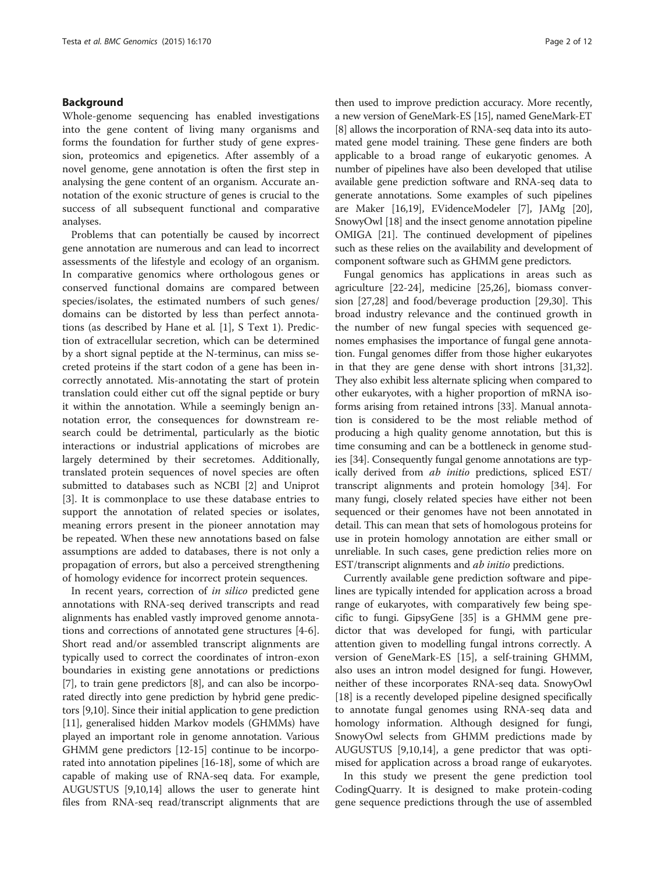#### <span id="page-1-0"></span>Background

Whole-genome sequencing has enabled investigations into the gene content of living many organisms and forms the foundation for further study of gene expression, proteomics and epigenetics. After assembly of a novel genome, gene annotation is often the first step in analysing the gene content of an organism. Accurate annotation of the exonic structure of genes is crucial to the success of all subsequent functional and comparative analyses.

Problems that can potentially be caused by incorrect gene annotation are numerous and can lead to incorrect assessments of the lifestyle and ecology of an organism. In comparative genomics where orthologous genes or conserved functional domains are compared between species/isolates, the estimated numbers of such genes/ domains can be distorted by less than perfect annotations (as described by Hane et al. [[1\]](#page-10-0), S Text 1). Prediction of extracellular secretion, which can be determined by a short signal peptide at the N-terminus, can miss secreted proteins if the start codon of a gene has been incorrectly annotated. Mis-annotating the start of protein translation could either cut off the signal peptide or bury it within the annotation. While a seemingly benign annotation error, the consequences for downstream research could be detrimental, particularly as the biotic interactions or industrial applications of microbes are largely determined by their secretomes. Additionally, translated protein sequences of novel species are often submitted to databases such as NCBI [[2\]](#page-10-0) and Uniprot [[3\]](#page-10-0). It is commonplace to use these database entries to support the annotation of related species or isolates, meaning errors present in the pioneer annotation may be repeated. When these new annotations based on false assumptions are added to databases, there is not only a propagation of errors, but also a perceived strengthening of homology evidence for incorrect protein sequences.

In recent years, correction of in silico predicted gene annotations with RNA-seq derived transcripts and read alignments has enabled vastly improved genome annotations and corrections of annotated gene structures [[4-6](#page-10-0)]. Short read and/or assembled transcript alignments are typically used to correct the coordinates of intron-exon boundaries in existing gene annotations or predictions [[7\]](#page-11-0), to train gene predictors [[8](#page-11-0)], and can also be incorporated directly into gene prediction by hybrid gene predictors [[9,10](#page-11-0)]. Since their initial application to gene prediction [[11](#page-11-0)], generalised hidden Markov models (GHMMs) have played an important role in genome annotation. Various GHMM gene predictors [[12](#page-11-0)-[15](#page-11-0)] continue to be incorporated into annotation pipelines [\[16-18\]](#page-11-0), some of which are capable of making use of RNA-seq data. For example, AUGUSTUS [\[9,10,14](#page-11-0)] allows the user to generate hint files from RNA-seq read/transcript alignments that are

then used to improve prediction accuracy. More recently, a new version of GeneMark-ES [\[15\]](#page-11-0), named GeneMark-ET [[8\]](#page-11-0) allows the incorporation of RNA-seq data into its automated gene model training. These gene finders are both applicable to a broad range of eukaryotic genomes. A number of pipelines have also been developed that utilise available gene prediction software and RNA-seq data to generate annotations. Some examples of such pipelines are Maker [\[16,19\]](#page-11-0), EVidenceModeler [[7\]](#page-11-0), JAMg [[20](#page-11-0)], SnowyOwl [\[18](#page-11-0)] and the insect genome annotation pipeline OMIGA [[21](#page-11-0)]. The continued development of pipelines such as these relies on the availability and development of component software such as GHMM gene predictors.

Fungal genomics has applications in areas such as agriculture [\[22](#page-11-0)-[24\]](#page-11-0), medicine [[25,26\]](#page-11-0), biomass conversion [[27,28](#page-11-0)] and food/beverage production [[29](#page-11-0),[30](#page-11-0)]. This broad industry relevance and the continued growth in the number of new fungal species with sequenced genomes emphasises the importance of fungal gene annotation. Fungal genomes differ from those higher eukaryotes in that they are gene dense with short introns [\[31,32](#page-11-0)]. They also exhibit less alternate splicing when compared to other eukaryotes, with a higher proportion of mRNA isoforms arising from retained introns [\[33\]](#page-11-0). Manual annotation is considered to be the most reliable method of producing a high quality genome annotation, but this is time consuming and can be a bottleneck in genome studies [\[34\]](#page-11-0). Consequently fungal genome annotations are typically derived from ab initio predictions, spliced EST/ transcript alignments and protein homology [\[34\]](#page-11-0). For many fungi, closely related species have either not been sequenced or their genomes have not been annotated in detail. This can mean that sets of homologous proteins for use in protein homology annotation are either small or unreliable. In such cases, gene prediction relies more on EST/transcript alignments and ab initio predictions.

Currently available gene prediction software and pipelines are typically intended for application across a broad range of eukaryotes, with comparatively few being specific to fungi. GipsyGene [[35\]](#page-11-0) is a GHMM gene predictor that was developed for fungi, with particular attention given to modelling fungal introns correctly. A version of GeneMark-ES [[15\]](#page-11-0), a self-training GHMM, also uses an intron model designed for fungi. However, neither of these incorporates RNA-seq data. SnowyOwl [[18\]](#page-11-0) is a recently developed pipeline designed specifically to annotate fungal genomes using RNA-seq data and homology information. Although designed for fungi, SnowyOwl selects from GHMM predictions made by AUGUSTUS [[9,10,14\]](#page-11-0), a gene predictor that was optimised for application across a broad range of eukaryotes.

In this study we present the gene prediction tool CodingQuarry. It is designed to make protein-coding gene sequence predictions through the use of assembled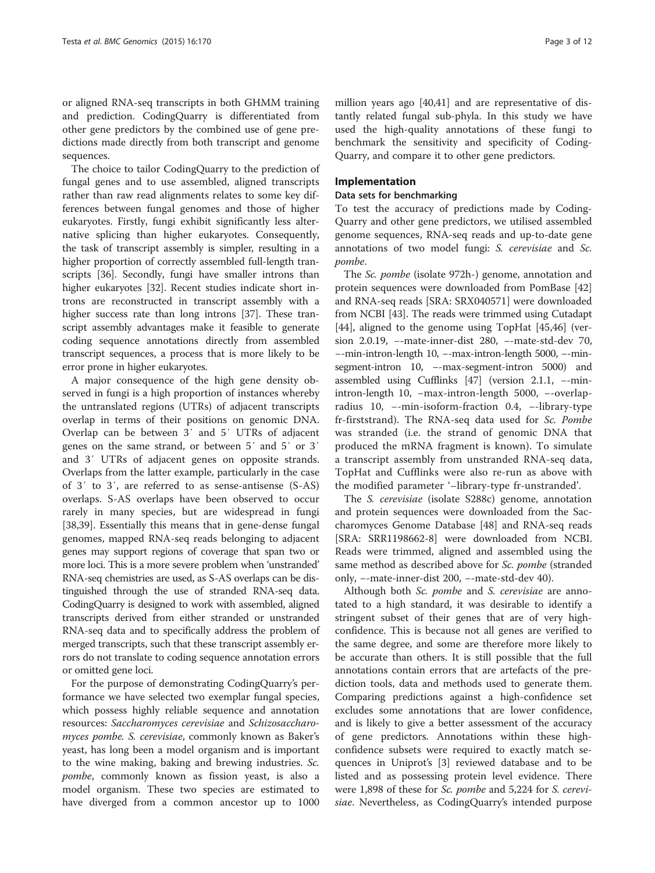<span id="page-2-0"></span>or aligned RNA-seq transcripts in both GHMM training and prediction. CodingQuarry is differentiated from other gene predictors by the combined use of gene predictions made directly from both transcript and genome sequences.

The choice to tailor CodingQuarry to the prediction of fungal genes and to use assembled, aligned transcripts rather than raw read alignments relates to some key differences between fungal genomes and those of higher eukaryotes. Firstly, fungi exhibit significantly less alternative splicing than higher eukaryotes. Consequently, the task of transcript assembly is simpler, resulting in a higher proportion of correctly assembled full-length transcripts [\[36\]](#page-11-0). Secondly, fungi have smaller introns than higher eukaryotes [\[32\]](#page-11-0). Recent studies indicate short introns are reconstructed in transcript assembly with a higher success rate than long introns [\[37](#page-11-0)]. These transcript assembly advantages make it feasible to generate coding sequence annotations directly from assembled transcript sequences, a process that is more likely to be error prone in higher eukaryotes.

A major consequence of the high gene density observed in fungi is a high proportion of instances whereby the untranslated regions (UTRs) of adjacent transcripts overlap in terms of their positions on genomic DNA. Overlap can be between 3′ and 5′ UTRs of adjacent genes on the same strand, or between 5′ and 5′ or 3′ and 3′ UTRs of adjacent genes on opposite strands. Overlaps from the latter example, particularly in the case of 3′ to 3′, are referred to as sense-antisense (S-AS) overlaps. S-AS overlaps have been observed to occur rarely in many species, but are widespread in fungi [[38,39\]](#page-11-0). Essentially this means that in gene-dense fungal genomes, mapped RNA-seq reads belonging to adjacent genes may support regions of coverage that span two or more loci. This is a more severe problem when 'unstranded' RNA-seq chemistries are used, as S-AS overlaps can be distinguished through the use of stranded RNA-seq data. CodingQuarry is designed to work with assembled, aligned transcripts derived from either stranded or unstranded RNA-seq data and to specifically address the problem of merged transcripts, such that these transcript assembly errors do not translate to coding sequence annotation errors or omitted gene loci.

For the purpose of demonstrating CodingQuarry's performance we have selected two exemplar fungal species, which possess highly reliable sequence and annotation resources: Saccharomyces cerevisiae and Schizosaccharomyces pombe. S. cerevisiae, commonly known as Baker's yeast, has long been a model organism and is important to the wine making, baking and brewing industries. Sc. pombe, commonly known as fission yeast, is also a model organism. These two species are estimated to have diverged from a common ancestor up to 1000 million years ago [\[40,41](#page-11-0)] and are representative of distantly related fungal sub-phyla. In this study we have used the high-quality annotations of these fungi to benchmark the sensitivity and specificity of Coding-Quarry, and compare it to other gene predictors.

#### Implementation

#### Data sets for benchmarking

To test the accuracy of predictions made by Coding-Quarry and other gene predictors, we utilised assembled genome sequences, RNA-seq reads and up-to-date gene annotations of two model fungi: S. cerevisiae and Sc. pombe.

The Sc. pombe (isolate 972h-) genome, annotation and protein sequences were downloaded from PomBase [[42](#page-11-0)] and RNA-seq reads [SRA: SRX040571] were downloaded from NCBI [\[43](#page-11-0)]. The reads were trimmed using Cutadapt [[44\]](#page-11-0), aligned to the genome using TopHat [\[45,46](#page-11-0)] (version 2.0.19, −-mate-inner-dist 280, −-mate-std-dev 70, −-min-intron-length 10, −-max-intron-length 5000, −-minsegment-intron 10, --max-segment-intron 5000) and assembled using Cufflinks [[47](#page-11-0)] (version 2.1.1, −-minintron-length 10, −max-intron-length 5000, −-overlapradius 10, −-min-isoform-fraction 0.4, −-library-type fr-firststrand). The RNA-seq data used for Sc. Pombe was stranded (i.e. the strand of genomic DNA that produced the mRNA fragment is known). To simulate a transcript assembly from unstranded RNA-seq data, TopHat and Cufflinks were also re-run as above with the modified parameter '–library-type fr-unstranded'.

The S. cerevisiae (isolate S288c) genome, annotation and protein sequences were downloaded from the Saccharomyces Genome Database [[48](#page-11-0)] and RNA-seq reads [SRA: SRR1198662-8] were downloaded from NCBI. Reads were trimmed, aligned and assembled using the same method as described above for Sc. pombe (stranded only, −-mate-inner-dist 200, −-mate-std-dev 40).

Although both Sc. pombe and S. cerevisiae are annotated to a high standard, it was desirable to identify a stringent subset of their genes that are of very highconfidence. This is because not all genes are verified to the same degree, and some are therefore more likely to be accurate than others. It is still possible that the full annotations contain errors that are artefacts of the prediction tools, data and methods used to generate them. Comparing predictions against a high-confidence set excludes some annotations that are lower confidence, and is likely to give a better assessment of the accuracy of gene predictors. Annotations within these highconfidence subsets were required to exactly match sequences in Uniprot's [\[3](#page-10-0)] reviewed database and to be listed and as possessing protein level evidence. There were 1,898 of these for Sc. pombe and 5,224 for S. cerevisiae. Nevertheless, as CodingQuarry's intended purpose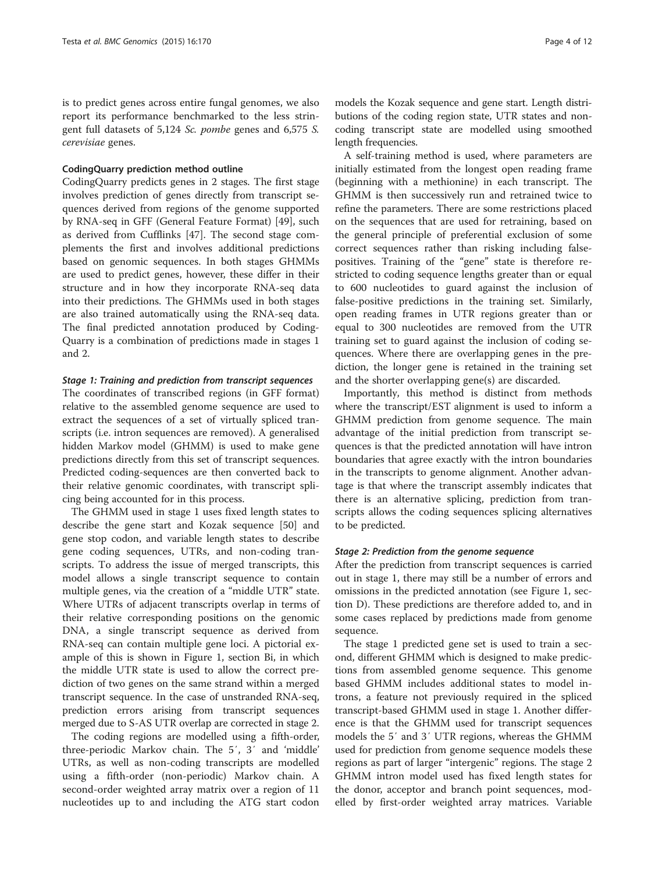is to predict genes across entire fungal genomes, we also report its performance benchmarked to the less stringent full datasets of 5,124 Sc. pombe genes and 6,575 S. cerevisiae genes.

#### CodingQuarry prediction method outline

CodingQuarry predicts genes in 2 stages. The first stage involves prediction of genes directly from transcript sequences derived from regions of the genome supported by RNA-seq in GFF (General Feature Format) [\[49](#page-11-0)], such as derived from Cufflinks [[47\]](#page-11-0). The second stage complements the first and involves additional predictions based on genomic sequences. In both stages GHMMs are used to predict genes, however, these differ in their structure and in how they incorporate RNA-seq data into their predictions. The GHMMs used in both stages are also trained automatically using the RNA-seq data. The final predicted annotation produced by Coding-Quarry is a combination of predictions made in stages 1 and 2.

#### Stage 1: Training and prediction from transcript sequences

The coordinates of transcribed regions (in GFF format) relative to the assembled genome sequence are used to extract the sequences of a set of virtually spliced transcripts (i.e. intron sequences are removed). A generalised hidden Markov model (GHMM) is used to make gene predictions directly from this set of transcript sequences. Predicted coding-sequences are then converted back to their relative genomic coordinates, with transcript splicing being accounted for in this process.

The GHMM used in stage 1 uses fixed length states to describe the gene start and Kozak sequence [\[50](#page-11-0)] and gene stop codon, and variable length states to describe gene coding sequences, UTRs, and non-coding transcripts. To address the issue of merged transcripts, this model allows a single transcript sequence to contain multiple genes, via the creation of a "middle UTR" state. Where UTRs of adjacent transcripts overlap in terms of their relative corresponding positions on the genomic DNA, a single transcript sequence as derived from RNA-seq can contain multiple gene loci. A pictorial example of this is shown in Figure [1,](#page-5-0) section Bi, in which the middle UTR state is used to allow the correct prediction of two genes on the same strand within a merged transcript sequence. In the case of unstranded RNA-seq, prediction errors arising from transcript sequences merged due to S-AS UTR overlap are corrected in stage 2.

The coding regions are modelled using a fifth-order, three-periodic Markov chain. The 5′, 3′ and 'middle' UTRs, as well as non-coding transcripts are modelled using a fifth-order (non-periodic) Markov chain. A second-order weighted array matrix over a region of 11 nucleotides up to and including the ATG start codon

models the Kozak sequence and gene start. Length distributions of the coding region state, UTR states and noncoding transcript state are modelled using smoothed length frequencies.

A self-training method is used, where parameters are initially estimated from the longest open reading frame (beginning with a methionine) in each transcript. The GHMM is then successively run and retrained twice to refine the parameters. There are some restrictions placed on the sequences that are used for retraining, based on the general principle of preferential exclusion of some correct sequences rather than risking including falsepositives. Training of the "gene" state is therefore restricted to coding sequence lengths greater than or equal to 600 nucleotides to guard against the inclusion of false-positive predictions in the training set. Similarly, open reading frames in UTR regions greater than or equal to 300 nucleotides are removed from the UTR training set to guard against the inclusion of coding sequences. Where there are overlapping genes in the prediction, the longer gene is retained in the training set and the shorter overlapping gene(s) are discarded.

Importantly, this method is distinct from methods where the transcript/EST alignment is used to inform a GHMM prediction from genome sequence. The main advantage of the initial prediction from transcript sequences is that the predicted annotation will have intron boundaries that agree exactly with the intron boundaries in the transcripts to genome alignment. Another advantage is that where the transcript assembly indicates that there is an alternative splicing, prediction from transcripts allows the coding sequences splicing alternatives to be predicted.

#### Stage 2: Prediction from the genome sequence

After the prediction from transcript sequences is carried out in stage 1, there may still be a number of errors and omissions in the predicted annotation (see Figure [1](#page-5-0), section D). These predictions are therefore added to, and in some cases replaced by predictions made from genome sequence.

The stage 1 predicted gene set is used to train a second, different GHMM which is designed to make predictions from assembled genome sequence. This genome based GHMM includes additional states to model introns, a feature not previously required in the spliced transcript-based GHMM used in stage 1. Another difference is that the GHMM used for transcript sequences models the 5′ and 3′ UTR regions, whereas the GHMM used for prediction from genome sequence models these regions as part of larger "intergenic" regions. The stage 2 GHMM intron model used has fixed length states for the donor, acceptor and branch point sequences, modelled by first-order weighted array matrices. Variable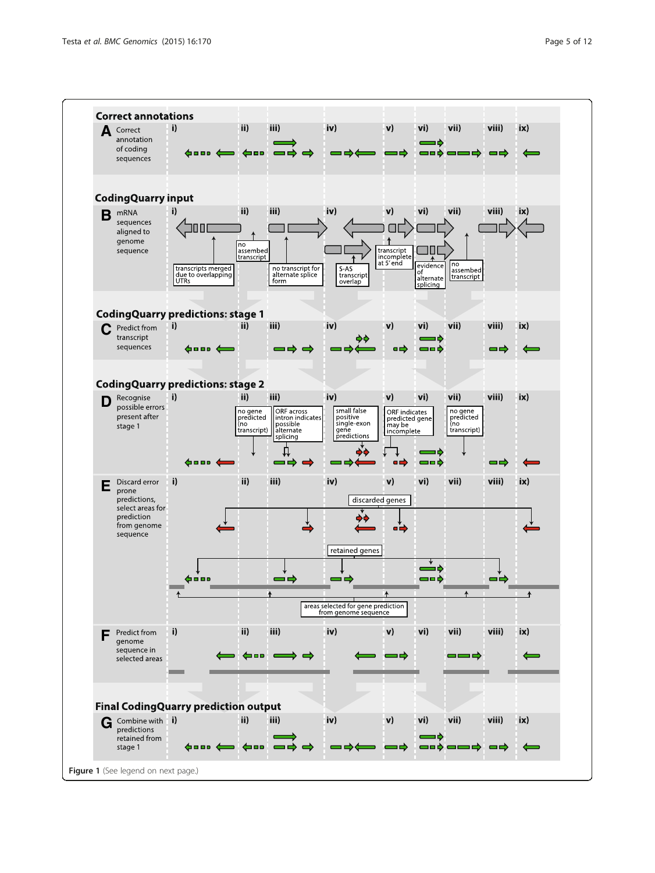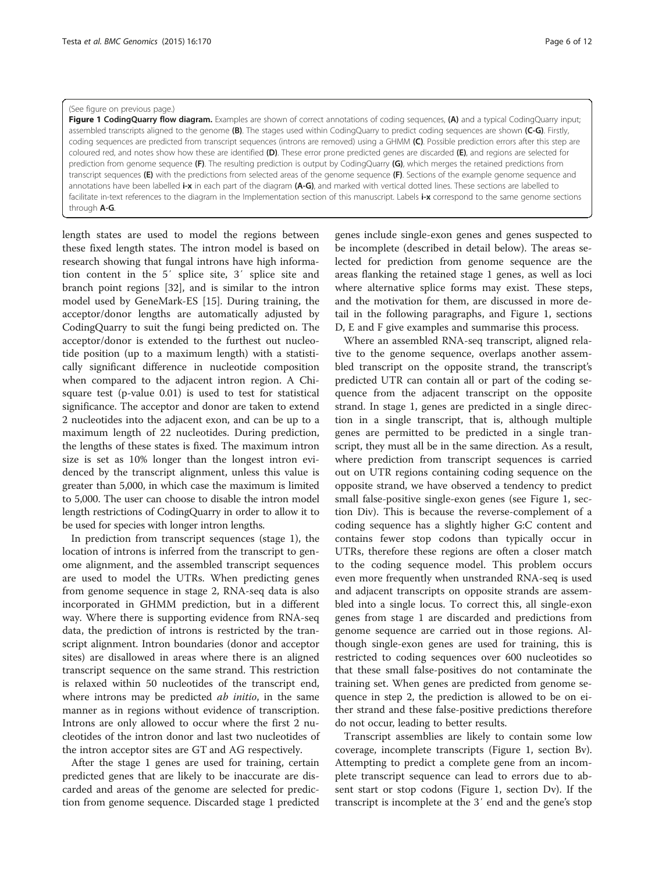#### <span id="page-5-0"></span>(See figure on previous page.)

Figure 1 CodingQuarry flow diagram. Examples are shown of correct annotations of coding sequences, (A) and a typical CodingQuarry input; assembled transcripts aligned to the genome (B). The stages used within CodingQuarry to predict coding sequences are shown (C-G). Firstly, coding sequences are predicted from transcript sequences (introns are removed) using a GHMM (C). Possible prediction errors after this step are coloured red, and notes show how these are identified (D). These error prone predicted genes are discarded (E), and regions are selected for prediction from genome sequence (F). The resulting prediction is output by CodingQuarry (G), which merges the retained predictions from transcript sequences (E) with the predictions from selected areas of the genome sequence (F). Sections of the example genome sequence and annotations have been labelled i-x in each part of the diagram (A-G), and marked with vertical dotted lines. These sections are labelled to facilitate in-text references to the diagram in the [Implementation](#page-2-0) section of this manuscript. Labels i-x correspond to the same genome sections through A-G.

length states are used to model the regions between these fixed length states. The intron model is based on research showing that fungal introns have high information content in the 5′ splice site, 3′ splice site and branch point regions [[32\]](#page-11-0), and is similar to the intron model used by GeneMark-ES [\[15](#page-11-0)]. During training, the acceptor/donor lengths are automatically adjusted by CodingQuarry to suit the fungi being predicted on. The acceptor/donor is extended to the furthest out nucleotide position (up to a maximum length) with a statistically significant difference in nucleotide composition when compared to the adjacent intron region. A Chisquare test (p-value 0.01) is used to test for statistical significance. The acceptor and donor are taken to extend 2 nucleotides into the adjacent exon, and can be up to a maximum length of 22 nucleotides. During prediction, the lengths of these states is fixed. The maximum intron size is set as 10% longer than the longest intron evidenced by the transcript alignment, unless this value is greater than 5,000, in which case the maximum is limited to 5,000. The user can choose to disable the intron model length restrictions of CodingQuarry in order to allow it to be used for species with longer intron lengths.

In prediction from transcript sequences (stage 1), the location of introns is inferred from the transcript to genome alignment, and the assembled transcript sequences are used to model the UTRs. When predicting genes from genome sequence in stage 2, RNA-seq data is also incorporated in GHMM prediction, but in a different way. Where there is supporting evidence from RNA-seq data, the prediction of introns is restricted by the transcript alignment. Intron boundaries (donor and acceptor sites) are disallowed in areas where there is an aligned transcript sequence on the same strand. This restriction is relaxed within 50 nucleotides of the transcript end, where introns may be predicted  $ab$  initio, in the same manner as in regions without evidence of transcription. Introns are only allowed to occur where the first 2 nucleotides of the intron donor and last two nucleotides of the intron acceptor sites are GT and AG respectively.

After the stage 1 genes are used for training, certain predicted genes that are likely to be inaccurate are discarded and areas of the genome are selected for prediction from genome sequence. Discarded stage 1 predicted

genes include single-exon genes and genes suspected to be incomplete (described in detail below). The areas selected for prediction from genome sequence are the areas flanking the retained stage 1 genes, as well as loci where alternative splice forms may exist. These steps, and the motivation for them, are discussed in more detail in the following paragraphs, and Figure 1, sections D, E and F give examples and summarise this process.

Where an assembled RNA-seq transcript, aligned relative to the genome sequence, overlaps another assembled transcript on the opposite strand, the transcript's predicted UTR can contain all or part of the coding sequence from the adjacent transcript on the opposite strand. In stage 1, genes are predicted in a single direction in a single transcript, that is, although multiple genes are permitted to be predicted in a single transcript, they must all be in the same direction. As a result, where prediction from transcript sequences is carried out on UTR regions containing coding sequence on the opposite strand, we have observed a tendency to predict small false-positive single-exon genes (see Figure 1, section Div). This is because the reverse-complement of a coding sequence has a slightly higher G:C content and contains fewer stop codons than typically occur in UTRs, therefore these regions are often a closer match to the coding sequence model. This problem occurs even more frequently when unstranded RNA-seq is used and adjacent transcripts on opposite strands are assembled into a single locus. To correct this, all single-exon genes from stage 1 are discarded and predictions from genome sequence are carried out in those regions. Although single-exon genes are used for training, this is restricted to coding sequences over 600 nucleotides so that these small false-positives do not contaminate the training set. When genes are predicted from genome sequence in step 2, the prediction is allowed to be on either strand and these false-positive predictions therefore do not occur, leading to better results.

Transcript assemblies are likely to contain some low coverage, incomplete transcripts (Figure 1, section Bv). Attempting to predict a complete gene from an incomplete transcript sequence can lead to errors due to absent start or stop codons (Figure 1, section Dv). If the transcript is incomplete at the 3′ end and the gene's stop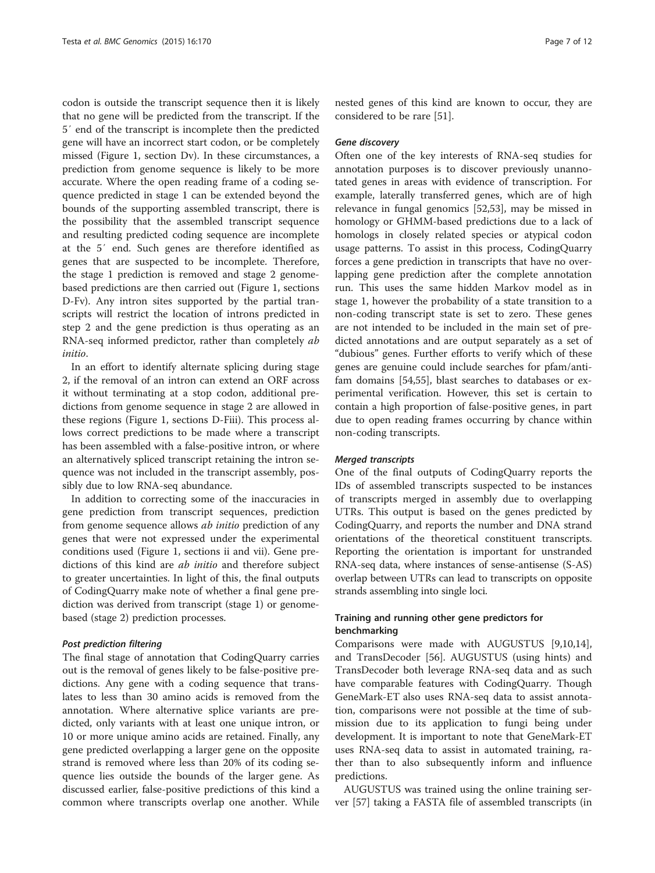codon is outside the transcript sequence then it is likely that no gene will be predicted from the transcript. If the 5′ end of the transcript is incomplete then the predicted gene will have an incorrect start codon, or be completely missed (Figure [1,](#page-5-0) section Dv). In these circumstances, a prediction from genome sequence is likely to be more accurate. Where the open reading frame of a coding sequence predicted in stage 1 can be extended beyond the bounds of the supporting assembled transcript, there is the possibility that the assembled transcript sequence and resulting predicted coding sequence are incomplete at the 5′ end. Such genes are therefore identified as genes that are suspected to be incomplete. Therefore, the stage 1 prediction is removed and stage 2 genomebased predictions are then carried out (Figure [1,](#page-5-0) sections D-Fv). Any intron sites supported by the partial transcripts will restrict the location of introns predicted in step 2 and the gene prediction is thus operating as an RNA-seq informed predictor, rather than completely ab initio.

In an effort to identify alternate splicing during stage 2, if the removal of an intron can extend an ORF across it without terminating at a stop codon, additional predictions from genome sequence in stage 2 are allowed in these regions (Figure [1](#page-5-0), sections D-Fiii). This process allows correct predictions to be made where a transcript has been assembled with a false-positive intron, or where an alternatively spliced transcript retaining the intron sequence was not included in the transcript assembly, possibly due to low RNA-seq abundance.

In addition to correcting some of the inaccuracies in gene prediction from transcript sequences, prediction from genome sequence allows ab initio prediction of any genes that were not expressed under the experimental conditions used (Figure [1](#page-5-0), sections ii and vii). Gene predictions of this kind are ab initio and therefore subject to greater uncertainties. In light of this, the final outputs of CodingQuarry make note of whether a final gene prediction was derived from transcript (stage 1) or genomebased (stage 2) prediction processes.

#### Post prediction filtering

The final stage of annotation that CodingQuarry carries out is the removal of genes likely to be false-positive predictions. Any gene with a coding sequence that translates to less than 30 amino acids is removed from the annotation. Where alternative splice variants are predicted, only variants with at least one unique intron, or 10 or more unique amino acids are retained. Finally, any gene predicted overlapping a larger gene on the opposite strand is removed where less than 20% of its coding sequence lies outside the bounds of the larger gene. As discussed earlier, false-positive predictions of this kind a common where transcripts overlap one another. While

nested genes of this kind are known to occur, they are considered to be rare [[51\]](#page-11-0).

#### Gene discovery

Often one of the key interests of RNA-seq studies for annotation purposes is to discover previously unannotated genes in areas with evidence of transcription. For example, laterally transferred genes, which are of high relevance in fungal genomics [[52,53](#page-11-0)], may be missed in homology or GHMM-based predictions due to a lack of homologs in closely related species or atypical codon usage patterns. To assist in this process, CodingQuarry forces a gene prediction in transcripts that have no overlapping gene prediction after the complete annotation run. This uses the same hidden Markov model as in stage 1, however the probability of a state transition to a non-coding transcript state is set to zero. These genes are not intended to be included in the main set of predicted annotations and are output separately as a set of "dubious" genes. Further efforts to verify which of these genes are genuine could include searches for pfam/antifam domains [[54,55\]](#page-11-0), blast searches to databases or experimental verification. However, this set is certain to contain a high proportion of false-positive genes, in part due to open reading frames occurring by chance within non-coding transcripts.

#### Merged transcripts

One of the final outputs of CodingQuarry reports the IDs of assembled transcripts suspected to be instances of transcripts merged in assembly due to overlapping UTRs. This output is based on the genes predicted by CodingQuarry, and reports the number and DNA strand orientations of the theoretical constituent transcripts. Reporting the orientation is important for unstranded RNA-seq data, where instances of sense-antisense (S-AS) overlap between UTRs can lead to transcripts on opposite strands assembling into single loci.

#### Training and running other gene predictors for benchmarking

Comparisons were made with AUGUSTUS [\[9,10,14](#page-11-0)], and TransDecoder [\[56\]](#page-11-0). AUGUSTUS (using hints) and TransDecoder both leverage RNA-seq data and as such have comparable features with CodingQuarry. Though GeneMark-ET also uses RNA-seq data to assist annotation, comparisons were not possible at the time of submission due to its application to fungi being under development. It is important to note that GeneMark-ET uses RNA-seq data to assist in automated training, rather than to also subsequently inform and influence predictions.

AUGUSTUS was trained using the online training server [[57\]](#page-11-0) taking a FASTA file of assembled transcripts (in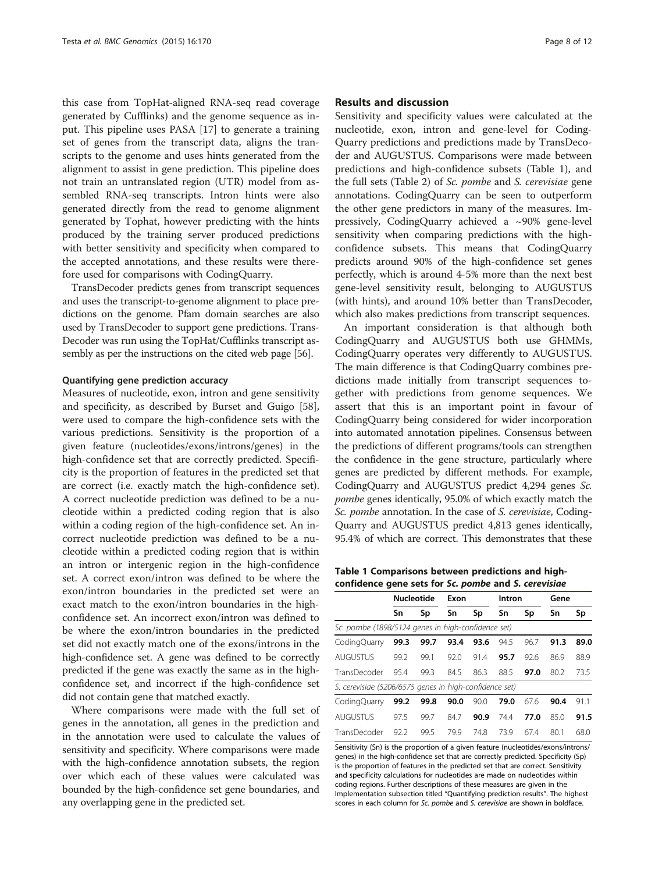<span id="page-7-0"></span>this case from TopHat-aligned RNA-seq read coverage generated by Cufflinks) and the genome sequence as input. This pipeline uses PASA [[17](#page-11-0)] to generate a training set of genes from the transcript data, aligns the transcripts to the genome and uses hints generated from the alignment to assist in gene prediction. This pipeline does not train an untranslated region (UTR) model from assembled RNA-seq transcripts. Intron hints were also generated directly from the read to genome alignment generated by Tophat, however predicting with the hints produced by the training server produced predictions with better sensitivity and specificity when compared to the accepted annotations, and these results were therefore used for comparisons with CodingQuarry.

TransDecoder predicts genes from transcript sequences and uses the transcript-to-genome alignment to place predictions on the genome. Pfam domain searches are also used by TransDecoder to support gene predictions. Trans-Decoder was run using the TopHat/Cufflinks transcript assembly as per the instructions on the cited web page [\[56\]](#page-11-0).

#### Quantifying gene prediction accuracy

Measures of nucleotide, exon, intron and gene sensitivity and specificity, as described by Burset and Guigo [\[58](#page-11-0)], were used to compare the high-confidence sets with the various predictions. Sensitivity is the proportion of a given feature (nucleotides/exons/introns/genes) in the high-confidence set that are correctly predicted. Specificity is the proportion of features in the predicted set that are correct (i.e. exactly match the high-confidence set). A correct nucleotide prediction was defined to be a nucleotide within a predicted coding region that is also within a coding region of the high-confidence set. An incorrect nucleotide prediction was defined to be a nucleotide within a predicted coding region that is within an intron or intergenic region in the high-confidence set. A correct exon/intron was defined to be where the exon/intron boundaries in the predicted set were an exact match to the exon/intron boundaries in the highconfidence set. An incorrect exon/intron was defined to be where the exon/intron boundaries in the predicted set did not exactly match one of the exons/introns in the high-confidence set. A gene was defined to be correctly predicted if the gene was exactly the same as in the highconfidence set, and incorrect if the high-confidence set did not contain gene that matched exactly.

Where comparisons were made with the full set of genes in the annotation, all genes in the prediction and in the annotation were used to calculate the values of sensitivity and specificity. Where comparisons were made with the high-confidence annotation subsets, the region over which each of these values were calculated was bounded by the high-confidence set gene boundaries, and any overlapping gene in the predicted set.

#### Results and discussion

Sensitivity and specificity values were calculated at the nucleotide, exon, intron and gene-level for Coding-Quarry predictions and predictions made by TransDecoder and AUGUSTUS. Comparisons were made between predictions and high-confidence subsets (Table 1), and the full sets (Table [2\)](#page-8-0) of Sc. pombe and S. cerevisiae gene annotations. CodingQuarry can be seen to outperform the other gene predictors in many of the measures. Impressively, CodingQuarry achieved a ~90% gene-level sensitivity when comparing predictions with the highconfidence subsets. This means that CodingQuarry predicts around 90% of the high-confidence set genes perfectly, which is around 4-5% more than the next best gene-level sensitivity result, belonging to AUGUSTUS (with hints), and around 10% better than TransDecoder, which also makes predictions from transcript sequences.

An important consideration is that although both CodingQuarry and AUGUSTUS both use GHMMs, CodingQuarry operates very differently to AUGUSTUS. The main difference is that CodingQuarry combines predictions made initially from transcript sequences together with predictions from genome sequences. We assert that this is an important point in favour of CodingQuarry being considered for wider incorporation into automated annotation pipelines. Consensus between the predictions of different programs/tools can strengthen the confidence in the gene structure, particularly where genes are predicted by different methods. For example, CodingQuarry and AUGUSTUS predict 4,294 genes Sc. pombe genes identically, 95.0% of which exactly match the Sc. pombe annotation. In the case of S. cerevisiae, Coding-Quarry and AUGUSTUS predict 4,813 genes identically, 95.4% of which are correct. This demonstrates that these

Table 1 Comparisons between predictions and highconfidence gene sets for Sc. pombe and S. cerevisiae

|                                                        | <b>Nucleotide</b> |      | Exon |      | Intron |      | Gene |      |
|--------------------------------------------------------|-------------------|------|------|------|--------|------|------|------|
|                                                        | Sn                | Sp   | Sn   | Sp   | Sn     | Sp   | Sn   | Sp   |
| Sc. pombe (1898/5124 genes in high-confidence set)     |                   |      |      |      |        |      |      |      |
| CodingQuarry                                           | 99.3              | 99.7 | 93.4 | 93.6 | 94.5   | 96.7 | 91.3 | 89.0 |
| <b>AUGUSTUS</b>                                        | 99.2              | 99.1 | 92.0 | 91.4 | 95.7   | 92.6 | 86.9 | 88.9 |
| TransDecoder                                           | 95.4              | 99.3 | 84.5 | 86.3 | 88.5   | 97.0 | 80.2 | 73.5 |
| S. cerevisiae (5206/6575 genes in high-confidence set) |                   |      |      |      |        |      |      |      |
| CodingQuarry                                           | 99.2              | 99.8 | 90.0 | 90.0 | 79.0   | 676  | 90.4 | 91.1 |
| <b>AUGUSTUS</b>                                        | 97.5              | 99.7 | 84.7 | 90.9 | 74.4   | 77.0 | 85.0 | 91.5 |
| TransDecoder                                           | 92.2              | 99.5 | 79.9 | 74.8 | 73.9   | 67.4 | 80.1 | 68.0 |

Sensitivity (Sn) is the proportion of a given feature (nucleotides/exons/introns/ genes) in the high-confidence set that are correctly predicted. Specificity (Sp) is the proportion of features in the predicted set that are correct. Sensitivity and specificity calculations for nucleotides are made on nucleotides within coding regions. Further descriptions of these measures are given in the Implementation subsection titled "Quantifying prediction results". The highest scores in each column for Sc. pombe and S. cerevisiae are shown in boldface.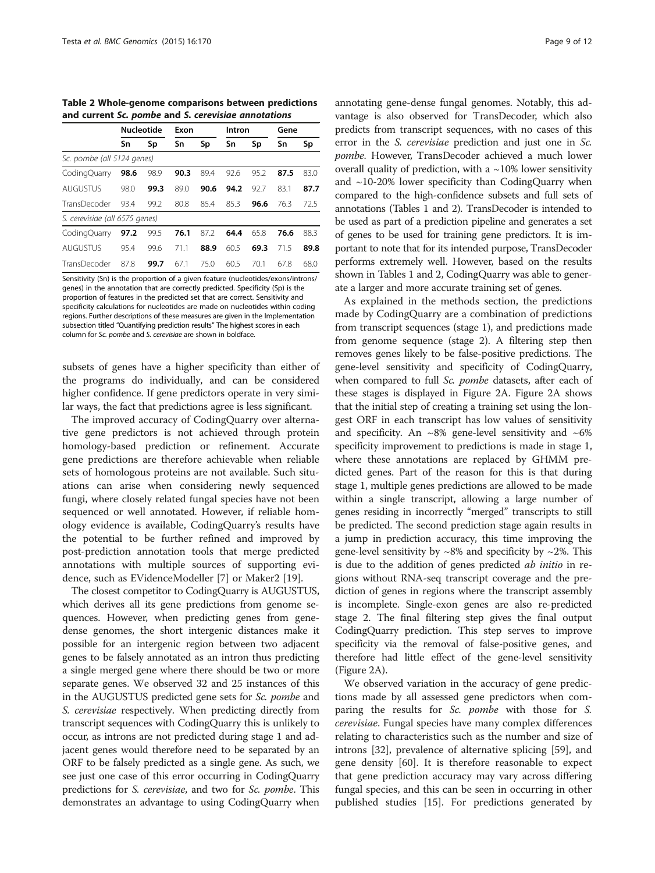<span id="page-8-0"></span>Table 2 Whole-genome comparisons between predictions and current Sc. pombe and S. cerevisiae annotations

|                                | Nucleotide |      | Exon |      | Intron |      | Gene |      |
|--------------------------------|------------|------|------|------|--------|------|------|------|
|                                | Sn         | Sp   | Sn   | Sp   | Sn     | Sp   | Sn   | Sp   |
| Sc. pombe (all 5124 genes)     |            |      |      |      |        |      |      |      |
| CodingQuarry                   | 98.6       | 98.9 | 90.3 | 89.4 | 92.6   | 95.2 | 87.5 | 83.0 |
| <b>AUGUSTUS</b>                | 98.0       | 99.3 | 89.0 | 90.6 | 94.2   | 92.7 | 83.1 | 87.7 |
| TransDecoder                   | 93.4       | 99.2 | 80.8 | 85.4 | 85.3   | 96.6 | 76.3 | 72.5 |
| S. cerevisiae (all 6575 genes) |            |      |      |      |        |      |      |      |
| CodingQuarry                   | 97.2       | 99.5 | 76.1 | 87.2 | 64.4   | 65.8 | 76.6 | 88.3 |
| <b>AUGUSTUS</b>                | 95.4       | 99.6 | 71.1 | 88.9 | 60.5   | 69.3 | 715  | 89.8 |
| TransDecoder                   | 87.8       | 99.7 | 67.1 | 75.0 | 60.5   | 70 1 | 67.8 | 68.0 |

Sensitivity (Sn) is the proportion of a given feature (nucleotides/exons/introns/ genes) in the annotation that are correctly predicted. Specificity (Sp) is the proportion of features in the predicted set that are correct. Sensitivity and specificity calculations for nucleotides are made on nucleotides within coding regions. Further descriptions of these measures are given in the Implementation subsection titled "Quantifying prediction results" The highest scores in each column for Sc. pombe and S. cerevisiae are shown in boldface.

subsets of genes have a higher specificity than either of the programs do individually, and can be considered higher confidence. If gene predictors operate in very similar ways, the fact that predictions agree is less significant.

The improved accuracy of CodingQuarry over alternative gene predictors is not achieved through protein homology-based prediction or refinement. Accurate gene predictions are therefore achievable when reliable sets of homologous proteins are not available. Such situations can arise when considering newly sequenced fungi, where closely related fungal species have not been sequenced or well annotated. However, if reliable homology evidence is available, CodingQuarry's results have the potential to be further refined and improved by post-prediction annotation tools that merge predicted annotations with multiple sources of supporting evidence, such as EVidenceModeller [\[7](#page-11-0)] or Maker2 [[19](#page-11-0)].

The closest competitor to CodingQuarry is AUGUSTUS, which derives all its gene predictions from genome sequences. However, when predicting genes from genedense genomes, the short intergenic distances make it possible for an intergenic region between two adjacent genes to be falsely annotated as an intron thus predicting a single merged gene where there should be two or more separate genes. We observed 32 and 25 instances of this in the AUGUSTUS predicted gene sets for Sc. pombe and S. cerevisiae respectively. When predicting directly from transcript sequences with CodingQuarry this is unlikely to occur, as introns are not predicted during stage 1 and adjacent genes would therefore need to be separated by an ORF to be falsely predicted as a single gene. As such, we see just one case of this error occurring in CodingQuarry predictions for S. cerevisiae, and two for Sc. pombe. This demonstrates an advantage to using CodingQuarry when

annotating gene-dense fungal genomes. Notably, this advantage is also observed for TransDecoder, which also predicts from transcript sequences, with no cases of this error in the S. cerevisiae prediction and just one in Sc. pombe. However, TransDecoder achieved a much lower overall quality of prediction, with a  $\sim$ 10% lower sensitivity and  $\sim$ 10-20% lower specificity than CodingQuarry when compared to the high-confidence subsets and full sets of annotations (Tables [1](#page-7-0) and 2). TransDecoder is intended to be used as part of a prediction pipeline and generates a set of genes to be used for training gene predictors. It is important to note that for its intended purpose, TransDecoder performs extremely well. However, based on the results shown in Tables [1](#page-7-0) and 2, CodingQuarry was able to generate a larger and more accurate training set of genes.

As explained in the methods section, the predictions made by CodingQuarry are a combination of predictions from transcript sequences (stage 1), and predictions made from genome sequence (stage 2). A filtering step then removes genes likely to be false-positive predictions. The gene-level sensitivity and specificity of CodingQuarry, when compared to full Sc. pombe datasets, after each of these stages is displayed in Figure [2](#page-9-0)A. Figure [2A](#page-9-0) shows that the initial step of creating a training set using the longest ORF in each transcript has low values of sensitivity and specificity. An  $\sim 8\%$  gene-level sensitivity and  $\sim 6\%$ specificity improvement to predictions is made in stage 1, where these annotations are replaced by GHMM predicted genes. Part of the reason for this is that during stage 1, multiple genes predictions are allowed to be made within a single transcript, allowing a large number of genes residing in incorrectly "merged" transcripts to still be predicted. The second prediction stage again results in a jump in prediction accuracy, this time improving the gene-level sensitivity by  $\sim 8\%$  and specificity by  $\sim 2\%$ . This is due to the addition of genes predicted *ab initio* in regions without RNA-seq transcript coverage and the prediction of genes in regions where the transcript assembly is incomplete. Single-exon genes are also re-predicted stage 2. The final filtering step gives the final output CodingQuarry prediction. This step serves to improve specificity via the removal of false-positive genes, and therefore had little effect of the gene-level sensitivity (Figure [2](#page-9-0)A).

We observed variation in the accuracy of gene predictions made by all assessed gene predictors when comparing the results for Sc. pombe with those for S. cerevisiae. Fungal species have many complex differences relating to characteristics such as the number and size of introns [[32\]](#page-11-0), prevalence of alternative splicing [\[59](#page-11-0)], and gene density [[60\]](#page-11-0). It is therefore reasonable to expect that gene prediction accuracy may vary across differing fungal species, and this can be seen in occurring in other published studies [[15](#page-11-0)]. For predictions generated by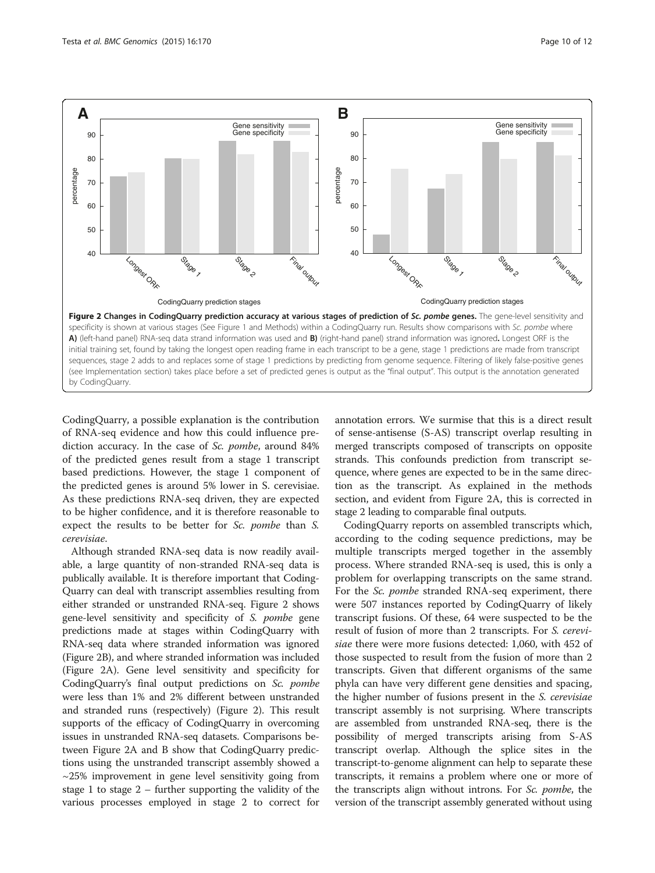<span id="page-9-0"></span>

CodingQuarry, a possible explanation is the contribution of RNA-seq evidence and how this could influence prediction accuracy. In the case of Sc. pombe, around 84% of the predicted genes result from a stage 1 transcript based predictions. However, the stage 1 component of the predicted genes is around 5% lower in S. cerevisiae. As these predictions RNA-seq driven, they are expected to be higher confidence, and it is therefore reasonable to expect the results to be better for Sc. pombe than S. cerevisiae.

Although stranded RNA-seq data is now readily available, a large quantity of non-stranded RNA-seq data is publically available. It is therefore important that Coding-Quarry can deal with transcript assemblies resulting from either stranded or unstranded RNA-seq. Figure 2 shows gene-level sensitivity and specificity of S. pombe gene predictions made at stages within CodingQuarry with RNA-seq data where stranded information was ignored (Figure 2B), and where stranded information was included (Figure 2A). Gene level sensitivity and specificity for CodingQuarry's final output predictions on Sc. pombe were less than 1% and 2% different between unstranded and stranded runs (respectively) (Figure 2). This result supports of the efficacy of CodingQuarry in overcoming issues in unstranded RNA-seq datasets. Comparisons between Figure 2A and B show that CodingQuarry predictions using the unstranded transcript assembly showed a  $\sim$ 25% improvement in gene level sensitivity going from stage 1 to stage  $2$  – further supporting the validity of the various processes employed in stage 2 to correct for annotation errors. We surmise that this is a direct result of sense-antisense (S-AS) transcript overlap resulting in merged transcripts composed of transcripts on opposite strands. This confounds prediction from transcript sequence, where genes are expected to be in the same direction as the transcript. As explained in the methods section, and evident from Figure 2A, this is corrected in stage 2 leading to comparable final outputs.

CodingQuarry reports on assembled transcripts which, according to the coding sequence predictions, may be multiple transcripts merged together in the assembly process. Where stranded RNA-seq is used, this is only a problem for overlapping transcripts on the same strand. For the Sc. pombe stranded RNA-seq experiment, there were 507 instances reported by CodingQuarry of likely transcript fusions. Of these, 64 were suspected to be the result of fusion of more than 2 transcripts. For S. cerevisiae there were more fusions detected: 1,060, with 452 of those suspected to result from the fusion of more than 2 transcripts. Given that different organisms of the same phyla can have very different gene densities and spacing, the higher number of fusions present in the S. cerevisiae transcript assembly is not surprising. Where transcripts are assembled from unstranded RNA-seq, there is the possibility of merged transcripts arising from S-AS transcript overlap. Although the splice sites in the transcript-to-genome alignment can help to separate these transcripts, it remains a problem where one or more of the transcripts align without introns. For Sc. pombe, the version of the transcript assembly generated without using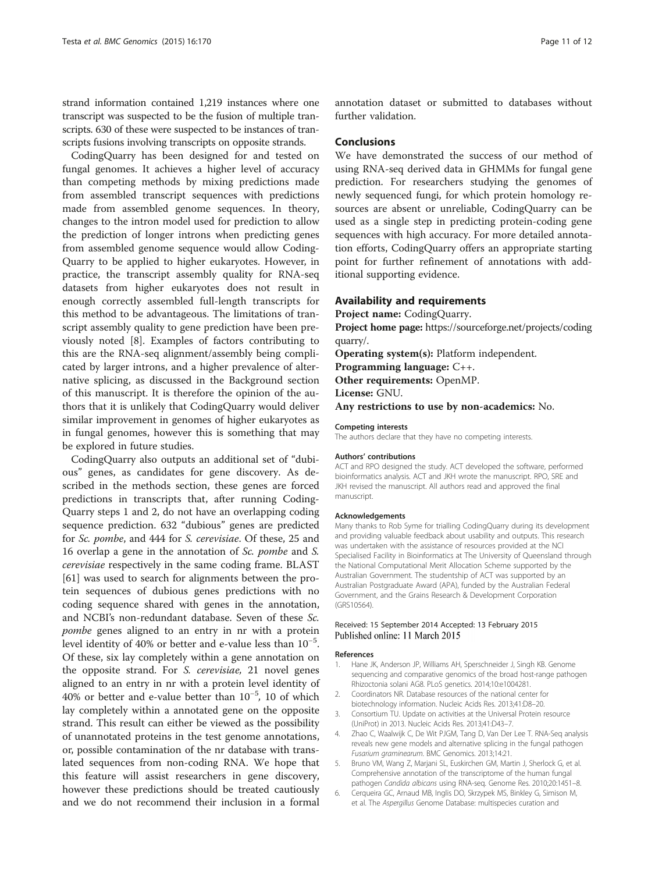<span id="page-10-0"></span>strand information contained 1,219 instances where one transcript was suspected to be the fusion of multiple transcripts. 630 of these were suspected to be instances of transcripts fusions involving transcripts on opposite strands.

CodingQuarry has been designed for and tested on fungal genomes. It achieves a higher level of accuracy than competing methods by mixing predictions made from assembled transcript sequences with predictions made from assembled genome sequences. In theory, changes to the intron model used for prediction to allow the prediction of longer introns when predicting genes from assembled genome sequence would allow Coding-Quarry to be applied to higher eukaryotes. However, in practice, the transcript assembly quality for RNA-seq datasets from higher eukaryotes does not result in enough correctly assembled full-length transcripts for this method to be advantageous. The limitations of transcript assembly quality to gene prediction have been previously noted [[8\]](#page-11-0). Examples of factors contributing to this are the RNA-seq alignment/assembly being complicated by larger introns, and a higher prevalence of alternative splicing, as discussed in the [Background](#page-1-0) section of this manuscript. It is therefore the opinion of the authors that it is unlikely that CodingQuarry would deliver similar improvement in genomes of higher eukaryotes as in fungal genomes, however this is something that may be explored in future studies.

CodingQuarry also outputs an additional set of "dubious" genes, as candidates for gene discovery. As described in the methods section, these genes are forced predictions in transcripts that, after running Coding-Quarry steps 1 and 2, do not have an overlapping coding sequence prediction. 632 "dubious" genes are predicted for Sc. pombe, and 444 for S. cerevisiae. Of these, 25 and 16 overlap a gene in the annotation of Sc. pombe and S. cerevisiae respectively in the same coding frame. BLAST [[61\]](#page-11-0) was used to search for alignments between the protein sequences of dubious genes predictions with no coding sequence shared with genes in the annotation, and NCBI's non-redundant database. Seven of these Sc. pombe genes aligned to an entry in nr with a protein level identity of 40% or better and e-value less than 10−<sup>5</sup> . Of these, six lay completely within a gene annotation on the opposite strand. For S. cerevisiae, 21 novel genes aligned to an entry in nr with a protein level identity of 40% or better and e-value better than 10−<sup>5</sup> , 10 of which lay completely within a annotated gene on the opposite strand. This result can either be viewed as the possibility of unannotated proteins in the test genome annotations, or, possible contamination of the nr database with translated sequences from non-coding RNA. We hope that this feature will assist researchers in gene discovery, however these predictions should be treated cautiously and we do not recommend their inclusion in a formal

annotation dataset or submitted to databases without further validation.

#### **Conclusions**

We have demonstrated the success of our method of using RNA-seq derived data in GHMMs for fungal gene prediction. For researchers studying the genomes of newly sequenced fungi, for which protein homology resources are absent or unreliable, CodingQuarry can be used as a single step in predicting protein-coding gene sequences with high accuracy. For more detailed annotation efforts, CodingQuarry offers an appropriate starting point for further refinement of annotations with additional supporting evidence.

#### Availability and requirements

Project name: CodingQuarry.

Project home page: [https://sourceforge.net/projects/coding](https://sourceforge.net/projects/codingquarry/) [quarry/.](https://sourceforge.net/projects/codingquarry/)

Operating system(s): Platform independent.

Programming language: C++.

Other requirements: OpenMP.

License: GNU.

Any restrictions to use by non-academics: No.

#### Competing interests

The authors declare that they have no competing interests.

#### Authors' contributions

ACT and RPO designed the study. ACT developed the software, performed bioinformatics analysis. ACT and JKH wrote the manuscript. RPO, SRE and JKH revised the manuscript. All authors read and approved the final manuscript.

#### Acknowledgements

Many thanks to Rob Syme for trialling CodingQuarry during its development and providing valuable feedback about usability and outputs. This research was undertaken with the assistance of resources provided at the NCI Specialised Facility in Bioinformatics at The University of Queensland through the National Computational Merit Allocation Scheme supported by the Australian Government. The studentship of ACT was supported by an Australian Postgraduate Award (APA), funded by the Australian Federal Government, and the Grains Research & Development Corporation (GRS10564).

#### Received: 15 September 2014 Accepted: 13 February 2015 Published online: 11 March 2015

#### References

- 1. Hane JK, Anderson JP, Williams AH, Sperschneider J, Singh KB. Genome sequencing and comparative genomics of the broad host-range pathogen Rhizoctonia solani AG8. PLoS genetics. 2014;10:e1004281.
- 2. Coordinators NR. Database resources of the national center for biotechnology information. Nucleic Acids Res. 2013;41:D8–20.
- 3. Consortium TU. Update on activities at the Universal Protein resource (UniProt) in 2013. Nucleic Acids Res. 2013;41:D43–7.
- 4. Zhao C, Waalwijk C, De Wit PJGM, Tang D, Van Der Lee T. RNA-Seq analysis reveals new gene models and alternative splicing in the fungal pathogen Fusarium graminearum. BMC Genomics. 2013;14:21.
- 5. Bruno VM, Wang Z, Marjani SL, Euskirchen GM, Martin J, Sherlock G, et al. Comprehensive annotation of the transcriptome of the human fungal pathogen Candida albicans using RNA-seq. Genome Res. 2010;20:1451–8.
- 6. Cerqueira GC, Arnaud MB, Inglis DO, Skrzypek MS, Binkley G, Simison M, et al. The Aspergillus Genome Database: multispecies curation and